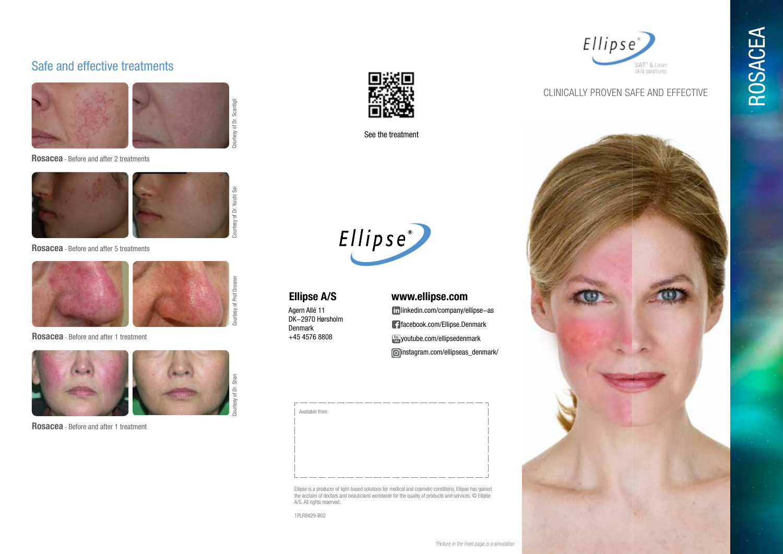## Safe and effective treatments



**Rosacea** - Before and after 2 treatments



**Rosacea** - Before and after 5 treatments



**Rosacea** - Before and after 1 treatment



**Rosacea** - Before and after 1 treatment



See the treatment



Agern Allé 11 DK-2970 Hørsholm Denmark +45 4576 8808

#### **Ellipse A/S www.ellipse.com**

linkedin.com/company/ellipse-as facebook.com/Ellipse.Denmark **Woutube.com/ellipsedenmark** instagram.com/ellipseas\_denmark/



the acclaim of doctors and beauticians worldwide for the quality of products and services. © Ellipse A/S. All rights reserved.

1PLR8429-B02



ROSACEA

#### CLINICALLY PROVEN SAFE AND EFFECTIVE